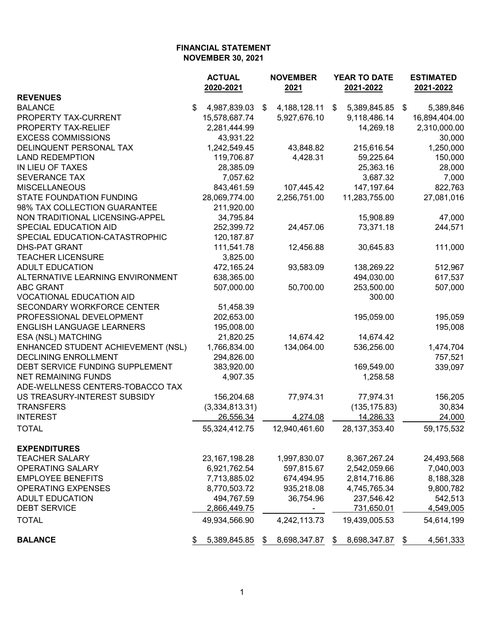|                                    | <b>ACTUAL</b> |                  | <b>NOVEMBER</b> |                 | YEAR TO DATE |                  | <b>ESTIMATED</b> |               |  |  |
|------------------------------------|---------------|------------------|-----------------|-----------------|--------------|------------------|------------------|---------------|--|--|
|                                    |               | 2020-2021        |                 | 2021            | 2021-2022    |                  |                  | 2021-2022     |  |  |
| <b>REVENUES</b>                    |               |                  |                 |                 |              |                  |                  |               |  |  |
| <b>BALANCE</b>                     | \$            | 4,987,839.03     | \$              | 4, 188, 128. 11 | \$           | 5,389,845.85     | - \$             | 5,389,846     |  |  |
| PROPERTY TAX-CURRENT               |               | 15,578,687.74    |                 | 5,927,676.10    |              | 9,118,486.14     |                  | 16,894,404.00 |  |  |
| PROPERTY TAX-RELIEF                |               | 2,281,444.99     |                 |                 |              | 14,269.18        |                  | 2,310,000.00  |  |  |
| <b>EXCESS COMMISSIONS</b>          |               | 43,931.22        |                 |                 |              |                  |                  | 30,000        |  |  |
| DELINQUENT PERSONAL TAX            |               | 1,242,549.45     |                 | 43,848.82       |              | 215,616.54       |                  | 1,250,000     |  |  |
| <b>LAND REDEMPTION</b>             |               | 119,706.87       |                 | 4,428.31        |              | 59,225.64        |                  | 150,000       |  |  |
| IN LIEU OF TAXES                   |               | 28,385.09        |                 |                 |              | 25,363.16        |                  | 28,000        |  |  |
| <b>SEVERANCE TAX</b>               |               | 7,057.62         |                 |                 |              | 3,687.32         |                  | 7,000         |  |  |
| <b>MISCELLANEOUS</b>               |               | 843,461.59       |                 | 107,445.42      |              | 147, 197.64      |                  | 822,763       |  |  |
| <b>STATE FOUNDATION FUNDING</b>    |               | 28,069,774.00    |                 | 2,256,751.00    |              | 11,283,755.00    |                  | 27,081,016    |  |  |
| 98% TAX COLLECTION GUARANTEE       |               | 211,920.00       |                 |                 |              |                  |                  |               |  |  |
| NON TRADITIONAL LICENSING-APPEL    |               | 34,795.84        |                 |                 |              | 15,908.89        |                  | 47,000        |  |  |
| SPECIAL EDUCATION AID              |               | 252,399.72       |                 | 24,457.06       |              | 73,371.18        |                  | 244,571       |  |  |
| SPECIAL EDUCATION-CATASTROPHIC     |               | 120, 187.87      |                 |                 |              |                  |                  |               |  |  |
| <b>DHS-PAT GRANT</b>               |               | 111,541.78       |                 | 12,456.88       |              | 30,645.83        |                  | 111,000       |  |  |
| <b>TEACHER LICENSURE</b>           |               | 3,825.00         |                 |                 |              |                  |                  |               |  |  |
| <b>ADULT EDUCATION</b>             |               | 472,165.24       |                 | 93,583.09       |              | 138,269.22       |                  | 512,967       |  |  |
| ALTERNATIVE LEARNING ENVIRONMENT   |               | 638,365.00       |                 |                 |              | 494,030.00       |                  | 617,537       |  |  |
| <b>ABC GRANT</b>                   |               | 507,000.00       |                 | 50,700.00       |              | 253,500.00       |                  | 507,000       |  |  |
| <b>VOCATIONAL EDUCATION AID</b>    |               |                  |                 |                 |              | 300.00           |                  |               |  |  |
| SECONDARY WORKFORCE CENTER         |               | 51,458.39        |                 |                 |              |                  |                  |               |  |  |
| PROFESSIONAL DEVELOPMENT           |               | 202,653.00       |                 |                 |              | 195,059.00       |                  | 195,059       |  |  |
| <b>ENGLISH LANGUAGE LEARNERS</b>   |               | 195,008.00       |                 |                 |              |                  |                  | 195,008       |  |  |
| ESA (NSL) MATCHING                 |               | 21,820.25        |                 | 14,674.42       |              | 14,674.42        |                  |               |  |  |
| ENHANCED STUDENT ACHIEVEMENT (NSL) |               | 1,766,834.00     |                 | 134,064.00      |              | 536,256.00       |                  | 1,474,704     |  |  |
| <b>DECLINING ENROLLMENT</b>        |               | 294,826.00       |                 |                 |              |                  |                  | 757,521       |  |  |
| DEBT SERVICE FUNDING SUPPLEMENT    |               | 383,920.00       |                 |                 |              | 169,549.00       |                  | 339,097       |  |  |
| <b>NET REMAINING FUNDS</b>         |               | 4,907.35         |                 |                 |              | 1,258.58         |                  |               |  |  |
| ADE-WELLNESS CENTERS-TOBACCO TAX   |               |                  |                 |                 |              |                  |                  |               |  |  |
| US TREASURY-INTEREST SUBSIDY       |               | 156,204.68       |                 | 77,974.31       |              | 77,974.31        |                  | 156,205       |  |  |
| <b>TRANSFERS</b>                   |               | (3,334,813.31)   |                 |                 |              | (135, 175.83)    |                  | 30,834        |  |  |
| <b>INTEREST</b>                    |               | 26,556.34        |                 | 4,274.08        |              | 14,286.33        |                  | 24,000        |  |  |
| <b>TOTAL</b>                       |               | 55,324,412.75    |                 | 12,940,461.60   |              | 28, 137, 353. 40 |                  |               |  |  |
|                                    |               |                  |                 |                 |              |                  |                  | 59,175,532    |  |  |
| <b>EXPENDITURES</b>                |               |                  |                 |                 |              |                  |                  |               |  |  |
| <b>TEACHER SALARY</b>              |               | 23, 167, 198. 28 |                 | 1,997,830.07    |              | 8,367,267.24     |                  | 24,493,568    |  |  |
| <b>OPERATING SALARY</b>            |               | 6,921,762.54     |                 | 597,815.67      |              | 2,542,059.66     |                  |               |  |  |
| <b>EMPLOYEE BENEFITS</b>           |               |                  |                 | 674,494.95      |              |                  |                  | 7,040,003     |  |  |
|                                    |               | 7,713,885.02     |                 |                 |              | 2,814,716.86     |                  | 8,188,328     |  |  |
| <b>OPERATING EXPENSES</b>          |               | 8,770,503.72     |                 | 935,218.08      |              | 4,745,765.34     |                  | 9,800,782     |  |  |
| <b>ADULT EDUCATION</b>             |               | 494,767.59       |                 | 36,754.96       |              | 237,546.42       |                  | 542,513       |  |  |
| <b>DEBT SERVICE</b>                |               | 2,866,449.75     |                 |                 |              | 731,650.01       |                  | 4,549,005     |  |  |
| <b>TOTAL</b>                       |               | 49,934,566.90    |                 | 4,242,113.73    |              | 19,439,005.53    |                  | 54,614,199    |  |  |
| <b>BALANCE</b>                     |               | 5,389,845.85     | \$              | 8,698,347.87    | \$           | 8,698,347.87     |                  | 4,561,333     |  |  |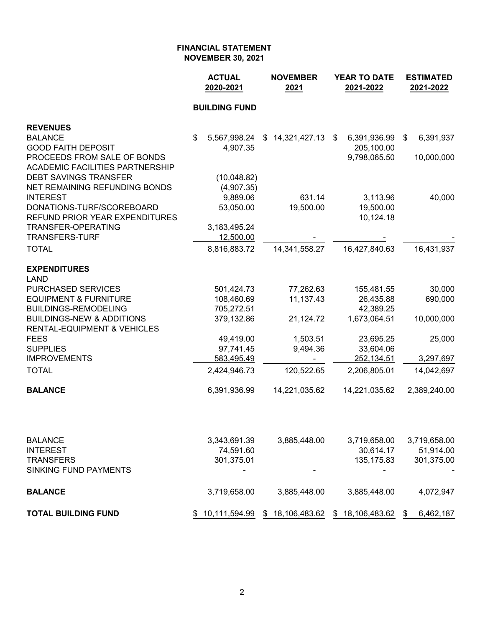|                                        | <b>ACTUAL</b><br>2020-2021 | <b>NOVEMBER</b><br>2021 | <b>YEAR TO DATE</b><br>2021-2022 | <b>ESTIMATED</b><br>2021-2022 |
|----------------------------------------|----------------------------|-------------------------|----------------------------------|-------------------------------|
|                                        | <b>BUILDING FUND</b>       |                         |                                  |                               |
| <b>REVENUES</b>                        |                            |                         |                                  |                               |
| <b>BALANCE</b>                         | \$<br>5,567,998.24         | 14,321,427.13<br>\$     | 6,391,936.99<br>\$               | 6,391,937<br>\$               |
| <b>GOOD FAITH DEPOSIT</b>              | 4,907.35                   |                         | 205,100.00                       |                               |
| PROCEEDS FROM SALE OF BONDS            |                            |                         | 9,798,065.50                     | 10,000,000                    |
| <b>ACADEMIC FACILITIES PARTNERSHIP</b> |                            |                         |                                  |                               |
| <b>DEBT SAVINGS TRANSFER</b>           | (10,048.82)                |                         |                                  |                               |
| NET REMAINING REFUNDING BONDS          | (4,907.35)                 |                         |                                  |                               |
| <b>INTEREST</b>                        | 9,889.06                   | 631.14                  | 3,113.96                         | 40,000                        |
| DONATIONS-TURF/SCOREBOARD              | 53,050.00                  | 19,500.00               | 19,500.00                        |                               |
| <b>REFUND PRIOR YEAR EXPENDITURES</b>  |                            |                         | 10,124.18                        |                               |
| <b>TRANSFER-OPERATING</b>              | 3,183,495.24               |                         |                                  |                               |
| <b>TRANSFERS-TURF</b>                  | 12,500.00                  |                         |                                  |                               |
| <b>TOTAL</b>                           | 8,816,883.72               | 14,341,558.27           | 16,427,840.63                    | 16,431,937                    |
| <b>EXPENDITURES</b>                    |                            |                         |                                  |                               |
| <b>LAND</b>                            |                            |                         |                                  |                               |
| PURCHASED SERVICES                     | 501,424.73                 | 77,262.63               | 155,481.55                       | 30,000                        |
| <b>EQUIPMENT &amp; FURNITURE</b>       | 108,460.69                 | 11,137.43               | 26,435.88                        | 690,000                       |
| <b>BUILDINGS-REMODELING</b>            | 705,272.51                 |                         | 42,389.25                        |                               |
| <b>BUILDINGS-NEW &amp; ADDITIONS</b>   | 379,132.86                 | 21,124.72               | 1,673,064.51                     | 10,000,000                    |
| <b>RENTAL-EQUIPMENT &amp; VEHICLES</b> |                            |                         |                                  |                               |
| <b>FEES</b>                            | 49,419.00                  | 1,503.51                | 23,695.25                        | 25,000                        |
| <b>SUPPLIES</b>                        | 97,741.45                  | 9,494.36                | 33,604.06                        |                               |
| <b>IMPROVEMENTS</b>                    | 583,495.49                 |                         | 252,134.51                       | 3,297,697                     |
| <b>TOTAL</b>                           | 2,424,946.73               | 120,522.65              | 2,206,805.01                     | 14,042,697                    |
| <b>BALANCE</b>                         | 6,391,936.99               | 14,221,035.62           | 14,221,035.62                    | 2,389,240.00                  |
|                                        |                            |                         |                                  |                               |
| <b>BALANCE</b>                         | 3,343,691.39               | 3,885,448.00            | 3,719,658.00                     | 3,719,658.00                  |
| <b>INTEREST</b>                        | 74,591.60                  |                         | 30,614.17                        | 51,914.00                     |
| <b>TRANSFERS</b>                       | 301,375.01                 |                         | 135, 175.83                      | 301,375.00                    |
| <b>SINKING FUND PAYMENTS</b>           |                            |                         |                                  |                               |
| <b>BALANCE</b>                         | 3,719,658.00               | 3,885,448.00            | 3,885,448.00                     | 4,072,947                     |
| <b>TOTAL BUILDING FUND</b>             | 10,111,594.99<br>\$        | 18,106,483.62<br>\$     | 18,106,483.62<br>\$              | 6,462,187<br>\$               |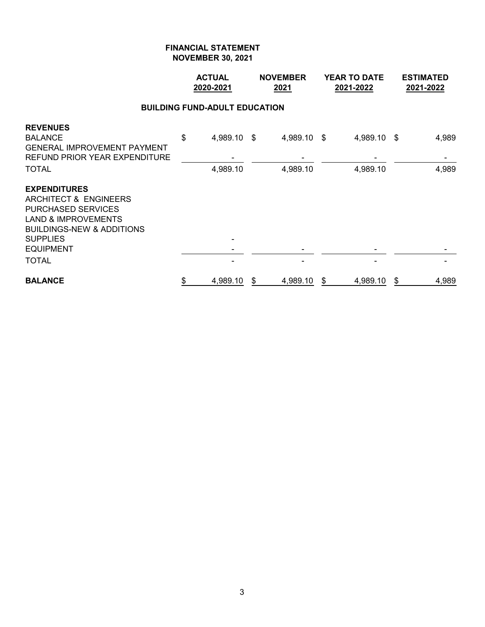|                                                                                                                                                                                                            | <b>ACTUAL</b><br>2020-2021           | <b>NOVEMBER</b><br>2021 |    | <b>YEAR TO DATE</b><br>2021-2022 | <b>ESTIMATED</b><br>2021-2022 |
|------------------------------------------------------------------------------------------------------------------------------------------------------------------------------------------------------------|--------------------------------------|-------------------------|----|----------------------------------|-------------------------------|
|                                                                                                                                                                                                            | <b>BUILDING FUND-ADULT EDUCATION</b> |                         |    |                                  |                               |
| <b>REVENUES</b><br><b>BALANCE</b><br><b>GENERAL IMPROVEMENT PAYMENT</b><br><b>REFUND PRIOR YEAR EXPENDITURE</b><br><b>TOTAL</b>                                                                            | \$<br>4,989.10 \$<br>4,989.10        | 4,989.10 \$<br>4,989.10 |    | 4,989.10 \$<br>4,989.10          | 4,989<br>4,989                |
| <b>EXPENDITURES</b><br>ARCHITECT & ENGINEERS<br><b>PURCHASED SERVICES</b><br><b>LAND &amp; IMPROVEMENTS</b><br><b>BUILDINGS-NEW &amp; ADDITIONS</b><br><b>SUPPLIES</b><br><b>EQUIPMENT</b><br><b>TOTAL</b> |                                      |                         |    |                                  |                               |
| <b>BALANCE</b>                                                                                                                                                                                             | \$<br>4,989.10                       | \$<br>4,989.10          | \$ | 4,989.10                         | \$<br>4,989                   |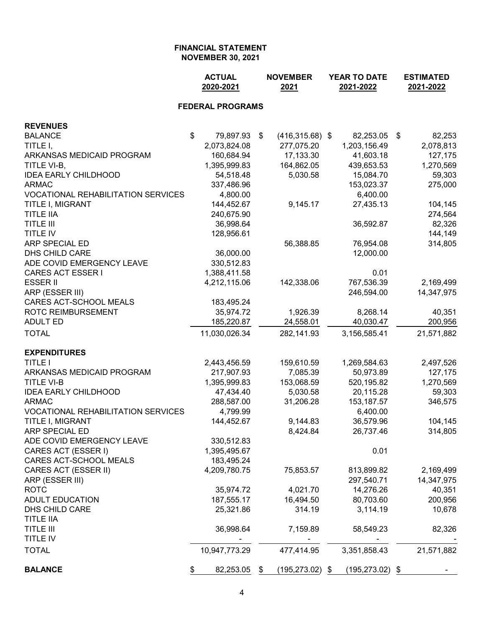|                                           | <b>ACTUAL</b><br>2020-2021 |    | <b>NOVEMBER</b><br>2021 |  | <b>YEAR TO DATE</b><br>2021-2022 |    | <b>ESTIMATED</b><br>2021-2022 |
|-------------------------------------------|----------------------------|----|-------------------------|--|----------------------------------|----|-------------------------------|
|                                           | <b>FEDERAL PROGRAMS</b>    |    |                         |  |                                  |    |                               |
| <b>REVENUES</b>                           |                            |    |                         |  |                                  |    |                               |
| <b>BALANCE</b>                            | \$<br>79,897.93 \$         |    | $(416, 315.68)$ \$      |  | 82,253.05                        | \$ | 82,253                        |
| TITLE I,                                  | 2,073,824.08               |    | 277,075.20              |  | 1,203,156.49                     |    | 2,078,813                     |
| ARKANSAS MEDICAID PROGRAM                 | 160,684.94                 |    | 17,133.30               |  | 41,603.18                        |    | 127,175                       |
| TITLE VI-B,                               | 1,395,999.83               |    | 164,862.05              |  | 439,653.53                       |    | 1,270,569                     |
| <b>IDEA EARLY CHILDHOOD</b>               | 54,518.48                  |    | 5,030.58                |  | 15,084.70                        |    | 59,303                        |
| <b>ARMAC</b>                              | 337,486.96                 |    |                         |  | 153,023.37                       |    | 275,000                       |
| <b>VOCATIONAL REHABILITATION SERVICES</b> | 4,800.00                   |    |                         |  | 6,400.00                         |    |                               |
| TITLE I, MIGRANT                          | 144,452.67                 |    | 9,145.17                |  | 27,435.13                        |    | 104,145                       |
| <b>TITLE IIA</b>                          | 240,675.90                 |    |                         |  |                                  |    | 274,564                       |
| <b>TITLE III</b>                          | 36,998.64                  |    |                         |  | 36,592.87                        |    | 82,326                        |
| TITLE IV                                  | 128,956.61                 |    |                         |  |                                  |    | 144,149                       |
| ARP SPECIAL ED                            |                            |    | 56,388.85               |  | 76,954.08                        |    | 314,805                       |
| DHS CHILD CARE                            | 36,000.00                  |    |                         |  | 12,000.00                        |    |                               |
| ADE COVID EMERGENCY LEAVE                 | 330,512.83                 |    |                         |  |                                  |    |                               |
| <b>CARES ACT ESSER I</b>                  | 1,388,411.58               |    |                         |  | 0.01                             |    |                               |
| <b>ESSER II</b>                           | 4,212,115.06               |    | 142,338.06              |  | 767,536.39                       |    | 2,169,499                     |
| ARP (ESSER III)                           |                            |    |                         |  | 246,594.00                       |    | 14,347,975                    |
| CARES ACT-SCHOOL MEALS                    | 183,495.24                 |    |                         |  |                                  |    |                               |
| ROTC REIMBURSEMENT                        | 35,974.72                  |    | 1,926.39                |  | 8,268.14                         |    | 40,351                        |
| <b>ADULT ED</b>                           | 185,220.87                 |    | 24,558.01               |  | 40,030.47                        |    | 200,956                       |
| <b>TOTAL</b>                              | 11,030,026.34              |    | 282,141.93              |  | 3,156,585.41                     |    | 21,571,882                    |
| <b>EXPENDITURES</b>                       |                            |    |                         |  |                                  |    |                               |
| <b>TITLE I</b>                            | 2,443,456.59               |    | 159,610.59              |  | 1,269,584.63                     |    | 2,497,526                     |
| ARKANSAS MEDICAID PROGRAM                 | 217,907.93                 |    | 7,085.39                |  | 50,973.89                        |    | 127,175                       |
| <b>TITLE VI-B</b>                         | 1,395,999.83               |    | 153,068.59              |  | 520,195.82                       |    | 1,270,569                     |
| <b>IDEA EARLY CHILDHOOD</b>               | 47,434.40                  |    | 5,030.58                |  | 20,115.28                        |    | 59,303                        |
| <b>ARMAC</b>                              | 288,587.00                 |    | 31,206.28               |  | 153, 187.57                      |    | 346,575                       |
| <b>VOCATIONAL REHABILITATION SERVICES</b> | 4,799.99                   |    |                         |  | 6,400.00                         |    |                               |
| TITLE I, MIGRANT                          | 144,452.67                 |    | 9,144.83                |  | 36,579.96                        |    | 104,145                       |
| ARP SPECIAL ED                            |                            |    | 8,424.84                |  | 26,737.46                        |    | 314,805                       |
| ADE COVID EMERGENCY LEAVE                 | 330,512.83                 |    |                         |  |                                  |    |                               |
| CARES ACT (ESSER I)                       | 1,395,495.67               |    |                         |  | 0.01                             |    |                               |
| CARES ACT-SCHOOL MEALS                    | 183,495.24                 |    |                         |  |                                  |    |                               |
| CARES ACT (ESSER II)                      | 4,209,780.75               |    | 75,853.57               |  | 813,899.82                       |    | 2,169,499                     |
| ARP (ESSER III)                           |                            |    |                         |  | 297,540.71                       |    | 14,347,975                    |
| <b>ROTC</b>                               | 35,974.72                  |    | 4,021.70                |  | 14,276.26                        |    | 40,351                        |
| <b>ADULT EDUCATION</b>                    | 187,555.17                 |    | 16,494.50               |  | 80,703.60                        |    | 200,956                       |
| DHS CHILD CARE                            | 25,321.86                  |    | 314.19                  |  | 3,114.19                         |    | 10,678                        |
| <b>TITLE IIA</b>                          |                            |    |                         |  |                                  |    |                               |
| <b>TITLE III</b>                          | 36,998.64                  |    | 7,159.89                |  | 58,549.23                        |    | 82,326                        |
| TITLE IV                                  |                            |    |                         |  |                                  |    |                               |
| <b>TOTAL</b>                              | 10,947,773.29              |    | 477,414.95              |  | 3,351,858.43                     |    | 21,571,882                    |
| <b>BALANCE</b>                            | \$<br>82,253.05            | \$ | $(195, 273.02)$ \$      |  | $(195, 273.02)$ \$               |    |                               |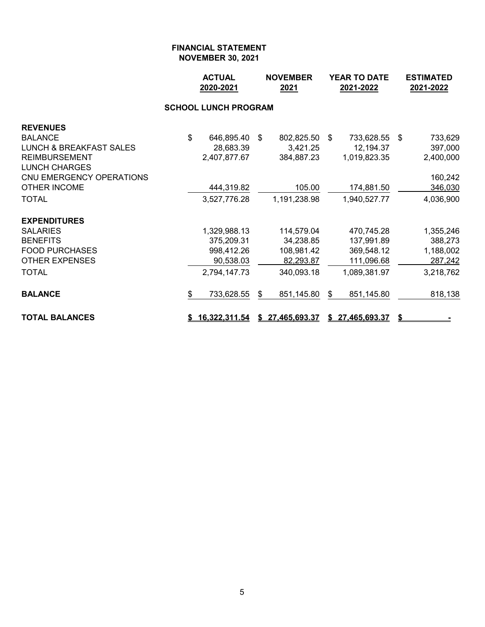|                                    |                | <b>ACTUAL</b><br><b>NOVEMBER</b><br>2020-2021<br>2021 |    | <b>YEAR TO DATE</b><br>2021-2022 |    |                 | <b>ESTIMATED</b><br>2021-2022 |           |
|------------------------------------|----------------|-------------------------------------------------------|----|----------------------------------|----|-----------------|-------------------------------|-----------|
|                                    |                | <b>SCHOOL LUNCH PROGRAM</b>                           |    |                                  |    |                 |                               |           |
| <b>REVENUES</b>                    |                |                                                       |    |                                  |    |                 |                               |           |
| <b>BALANCE</b>                     | $\mathfrak{S}$ | 646,895.40                                            | \$ | 802,825.50                       | -S | 733,628.55      | \$                            | 733,629   |
| <b>LUNCH &amp; BREAKFAST SALES</b> |                | 28,683.39                                             |    | 3,421.25                         |    | 12,194.37       |                               | 397,000   |
| <b>REIMBURSEMENT</b>               |                | 2,407,877.67                                          |    | 384,887.23                       |    | 1,019,823.35    |                               | 2,400,000 |
| <b>LUNCH CHARGES</b>               |                |                                                       |    |                                  |    |                 |                               |           |
| CNU EMERGENCY OPERATIONS           |                |                                                       |    |                                  |    |                 |                               | 160,242   |
| <b>OTHER INCOME</b>                |                | 444,319.82                                            |    | 105.00                           |    | 174,881.50      |                               | 346,030   |
| <b>TOTAL</b>                       |                | 3,527,776.28                                          |    | 1,191,238.98                     |    | 1,940,527.77    |                               | 4,036,900 |
| <b>EXPENDITURES</b>                |                |                                                       |    |                                  |    |                 |                               |           |
| SALARIES                           |                | 1,329,988.13                                          |    | 114,579.04                       |    | 470,745.28      |                               | 1,355,246 |
| <b>BENEFITS</b>                    |                | 375,209.31                                            |    | 34,238.85                        |    | 137,991.89      |                               | 388,273   |
| <b>FOOD PURCHASES</b>              |                | 998,412.26                                            |    | 108,981.42                       |    | 369,548.12      |                               | 1,188,002 |
| <b>OTHER EXPENSES</b>              |                | 90,538.03                                             |    | 82,293.87                        |    | 111,096.68      |                               | 287,242   |
| <b>TOTAL</b>                       |                | 2,794,147.73                                          |    | 340,093.18                       |    | 1,089,381.97    |                               | 3,218,762 |
| <b>BALANCE</b>                     | \$             | 733,628.55                                            | \$ | 851,145.80                       | \$ | 851,145.80      |                               | 818,138   |
| <b>TOTAL BALANCES</b>              |                | 16,322,311.54                                         |    | \$27,465,693.37                  |    | \$27,465,693.37 | \$                            |           |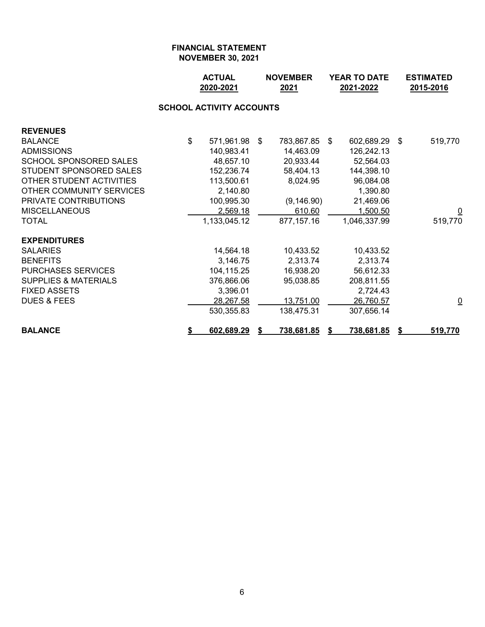|                                 |    | <b>ACTUAL</b><br><b>NOVEMBER</b><br>2020-2021<br>2021 |  |                   | <b>YEAR TO DATE</b><br>2021-2022 |                   |     | <b>ESTIMATED</b><br>2015-2016 |  |  |  |  |
|---------------------------------|----|-------------------------------------------------------|--|-------------------|----------------------------------|-------------------|-----|-------------------------------|--|--|--|--|
| <b>SCHOOL ACTIVITY ACCOUNTS</b> |    |                                                       |  |                   |                                  |                   |     |                               |  |  |  |  |
| <b>REVENUES</b>                 |    |                                                       |  |                   |                                  |                   |     |                               |  |  |  |  |
| <b>BALANCE</b>                  | \$ | 571,961.98 \$                                         |  | 783,867.85        | - \$                             | 602,689.29        | -\$ | 519,770                       |  |  |  |  |
| <b>ADMISSIONS</b>               |    | 140,983.41                                            |  | 14,463.09         |                                  | 126,242.13        |     |                               |  |  |  |  |
| <b>SCHOOL SPONSORED SALES</b>   |    | 48,657.10                                             |  | 20,933.44         |                                  | 52,564.03         |     |                               |  |  |  |  |
| STUDENT SPONSORED SALES         |    | 152,236.74                                            |  | 58,404.13         |                                  | 144,398.10        |     |                               |  |  |  |  |
| OTHER STUDENT ACTIVITIES        |    | 113,500.61                                            |  | 8,024.95          |                                  | 96,084.08         |     |                               |  |  |  |  |
| OTHER COMMUNITY SERVICES        |    | 2,140.80                                              |  |                   |                                  | 1,390.80          |     |                               |  |  |  |  |
| PRIVATE CONTRIBUTIONS           |    | 100,995.30                                            |  | (9, 146.90)       |                                  | 21,469.06         |     |                               |  |  |  |  |
| <b>MISCELLANEOUS</b>            |    | 2,569.18                                              |  | 610.60            |                                  | 1,500.50          |     | $\overline{\mathsf{C}}$       |  |  |  |  |
| <b>TOTAL</b>                    |    | 1,133,045.12                                          |  | 877,157.16        |                                  | 1,046,337.99      |     | 519,770                       |  |  |  |  |
| <b>EXPENDITURES</b>             |    |                                                       |  |                   |                                  |                   |     |                               |  |  |  |  |
| <b>SALARIES</b>                 |    | 14,564.18                                             |  | 10,433.52         |                                  | 10,433.52         |     |                               |  |  |  |  |
| <b>BENEFITS</b>                 |    | 3,146.75                                              |  | 2,313.74          |                                  | 2,313.74          |     |                               |  |  |  |  |
| <b>PURCHASES SERVICES</b>       |    | 104,115.25                                            |  | 16,938.20         |                                  | 56,612.33         |     |                               |  |  |  |  |
| <b>SUPPLIES &amp; MATERIALS</b> |    | 376,866.06                                            |  | 95,038.85         |                                  | 208,811.55        |     |                               |  |  |  |  |
| <b>FIXED ASSETS</b>             |    | 3,396.01                                              |  |                   |                                  | 2,724.43          |     |                               |  |  |  |  |
| <b>DUES &amp; FEES</b>          |    | 28,267.58                                             |  | 13,751.00         |                                  | 26,760.57         |     | $\overline{\mathsf{C}}$       |  |  |  |  |
|                                 |    | 530,355.83                                            |  | 138,475.31        |                                  | 307,656.14        |     |                               |  |  |  |  |
| <b>BALANCE</b>                  | \$ | 602,689.29                                            |  | <u>738,681.85</u> |                                  | <u>738,681.85</u> |     | 519,770                       |  |  |  |  |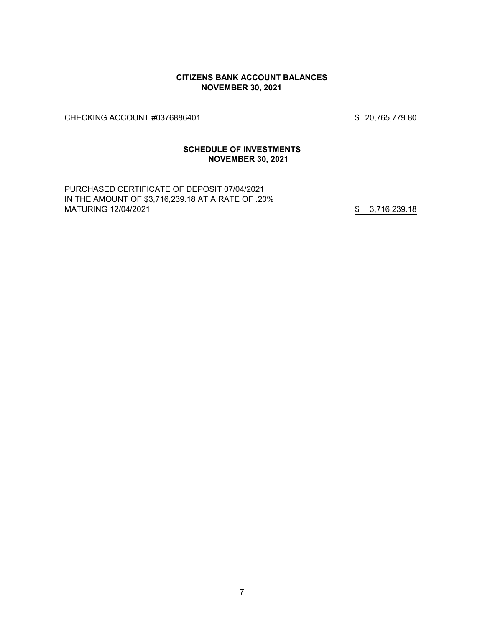#### **CITIZENS BANK ACCOUNT BALANCES NOVEMBER 30, 2021**

CHECKING ACCOUNT #0376886401 \$ 20,765,779.80

# **SCHEDULE OF INVESTMENTS NOVEMBER 30, 2021**

PURCHASED CERTIFICATE OF DEPOSIT 07/04/2021 IN THE AMOUNT OF \$3,716,239.18 AT A RATE OF .20% MATURING 12/04/2021 **\$** 3,716,239.18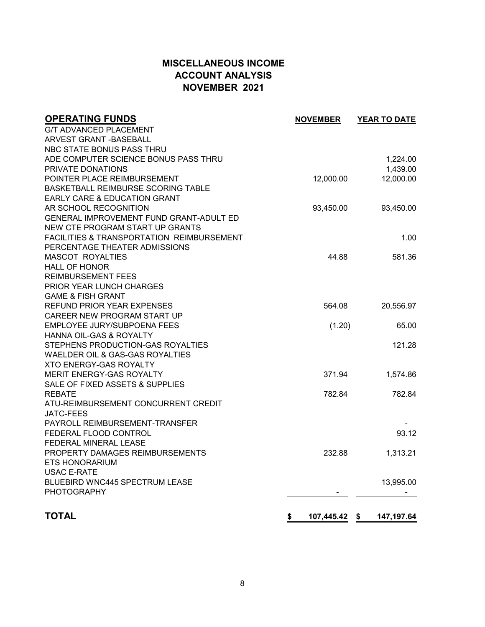# **MISCELLANEOUS INCOME ACCOUNT ANALYSIS NOVEMBER 2021**

| <b>OPERATING FUNDS</b>                               | <b>NOVEMBER</b>  | YEAR TO DATE     |
|------------------------------------------------------|------------------|------------------|
| <b>G/T ADVANCED PLACEMENT</b>                        |                  |                  |
| <b>ARVEST GRANT -BASEBALL</b>                        |                  |                  |
| NBC STATE BONUS PASS THRU                            |                  |                  |
| ADE COMPUTER SCIENCE BONUS PASS THRU                 |                  | 1,224.00         |
| PRIVATE DONATIONS                                    |                  | 1,439.00         |
| POINTER PLACE REIMBURSEMENT                          | 12,000.00        | 12,000.00        |
| BASKETBALL REIMBURSE SCORING TABLE                   |                  |                  |
| EARLY CARE & EDUCATION GRANT                         |                  |                  |
| AR SCHOOL RECOGNITION                                | 93,450.00        | 93,450.00        |
| GENERAL IMPROVEMENT FUND GRANT-ADULT ED              |                  |                  |
| NEW CTE PROGRAM START UP GRANTS                      |                  |                  |
| FACILITIES & TRANSPORTATION REIMBURSEMENT            |                  | 1.00             |
| PERCENTAGE THEATER ADMISSIONS                        |                  |                  |
| <b>MASCOT ROYALTIES</b>                              | 44.88            | 581.36           |
| <b>HALL OF HONOR</b>                                 |                  |                  |
| <b>REIMBURSEMENT FEES</b>                            |                  |                  |
| <b>PRIOR YEAR LUNCH CHARGES</b>                      |                  |                  |
| <b>GAME &amp; FISH GRANT</b>                         |                  |                  |
| REFUND PRIOR YEAR EXPENSES                           | 564.08           | 20,556.97        |
| CAREER NEW PROGRAM START UP                          |                  |                  |
| EMPLOYEE JURY/SUBPOENA FEES                          | (1.20)           | 65.00            |
| <b>HANNA OIL-GAS &amp; ROYALTY</b>                   |                  |                  |
| STEPHENS PRODUCTION-GAS ROYALTIES                    |                  | 121.28           |
| WAELDER OIL & GAS-GAS ROYALTIES                      |                  |                  |
| XTO ENERGY-GAS ROYALTY                               |                  |                  |
| MERIT ENERGY-GAS ROYALTY                             | 371.94           | 1,574.86         |
| SALE OF FIXED ASSETS & SUPPLIES                      |                  |                  |
| <b>REBATE</b><br>ATU-REIMBURSEMENT CONCURRENT CREDIT | 782.84           | 782.84           |
| <b>JATC-FEES</b>                                     |                  |                  |
| PAYROLL REIMBURSEMENT-TRANSFER                       |                  |                  |
| FEDERAL FLOOD CONTROL                                |                  | 93.12            |
| FEDERAL MINERAL LEASE                                |                  |                  |
| PROPERTY DAMAGES REIMBURSEMENTS                      | 232.88           | 1,313.21         |
| <b>ETS HONORARIUM</b>                                |                  |                  |
| <b>USAC E-RATE</b>                                   |                  |                  |
| BLUEBIRD WNC445 SPECTRUM LEASE                       |                  | 13,995.00        |
| <b>PHOTOGRAPHY</b>                                   |                  |                  |
|                                                      |                  |                  |
|                                                      |                  |                  |
| <b>TOTAL</b>                                         | \$<br>107,445.42 | \$<br>147,197.64 |